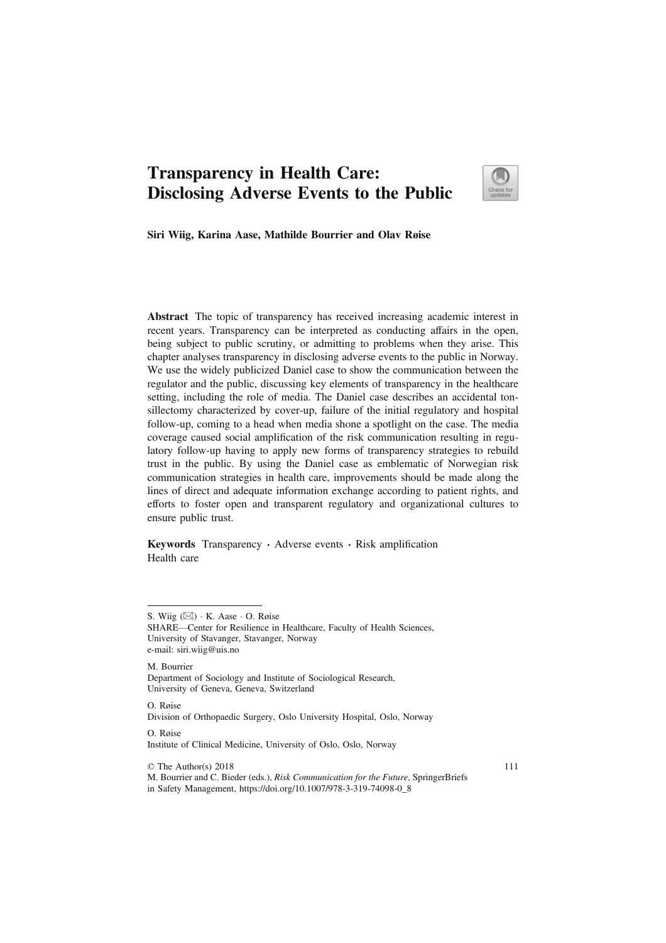# Transparency in Health Care: Disclosing Adverse Events to the Public



Siri Wiig, Karina Aase, Mathilde Bourrier and Olav Røise

Abstract The topic of transparency has received increasing academic interest in recent years. Transparency can be interpreted as conducting affairs in the open, being subject to public scrutiny, or admitting to problems when they arise. This chapter analyses transparency in disclosing adverse events to the public in Norway. We use the widely publicized Daniel case to show the communication between the regulator and the public, discussing key elements of transparency in the healthcare setting, including the role of media. The Daniel case describes an accidental tonsillectomy characterized by cover-up, failure of the initial regulatory and hospital follow-up, coming to a head when media shone a spotlight on the case. The media coverage caused social amplification of the risk communication resulting in regulatory follow-up having to apply new forms of transparency strategies to rebuild trust in the public. By using the Daniel case as emblematic of Norwegian risk communication strategies in health care, improvements should be made along the lines of direct and adequate information exchange according to patient rights, and efforts to foster open and transparent regulatory and organizational cultures to ensure public trust.

Keywords Transparency · Adverse events · Risk amplification Health care

M. Bourrier

O. Røise

Division of Orthopaedic Surgery, Oslo University Hospital, Oslo, Norway

O. Røise

© The Author(s) 2018

111

S. Wiig  $(\boxtimes) \cdot$  K. Aase  $\cdot$  O. Røise

SHARE—Center for Resilience in Healthcare, Faculty of Health Sciences, University of Stavanger, Stavanger, Norway e-mail: siri.wiig@uis.no

Department of Sociology and Institute of Sociological Research, University of Geneva, Geneva, Switzerland

Institute of Clinical Medicine, University of Oslo, Oslo, Norway

M. Bourrier and C. Bieder (eds.), *Risk Communication for the Future*, SpringerBriefs

in Safety Management, https://doi.org/10.1007/978-3-319-74098-0\_8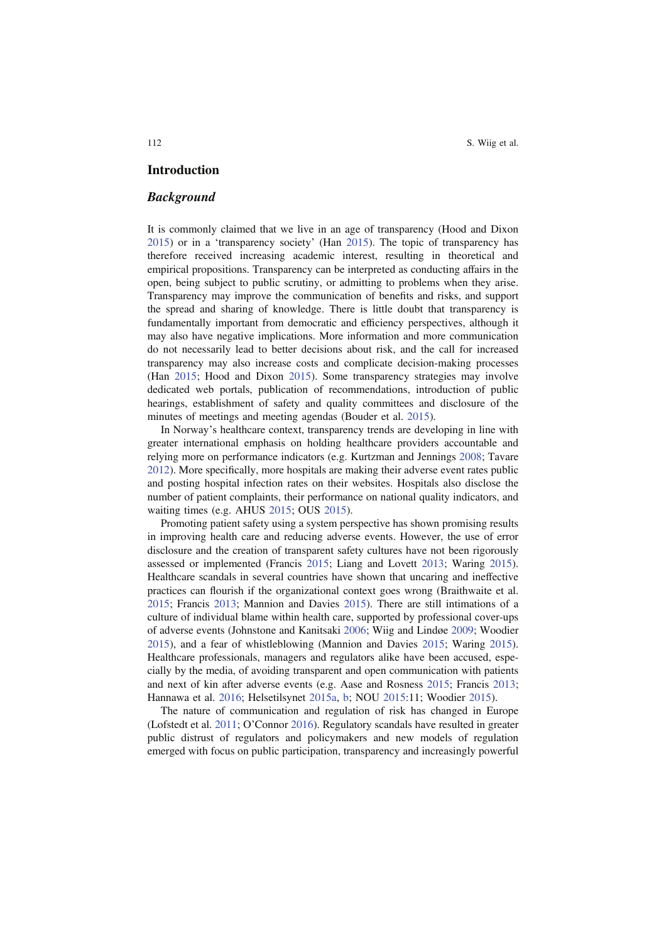112 S. Wiig et al.

### Introduction

#### Background

It is commonly claimed that we live in an age of transparency (Hood and Dixon 2015) or in a 'transparency society' (Han 2015). The topic of transparency has therefore received increasing academic interest, resulting in theoretical and empirical propositions. Transparency can be interpreted as conducting affairs in the open, being subject to public scrutiny, or admitting to problems when they arise. Transparency may improve the communication of benefits and risks, and support the spread and sharing of knowledge. There is little doubt that transparency is fundamentally important from democratic and efficiency perspectives, although it may also have negative implications. More information and more communication do not necessarily lead to better decisions about risk, and the call for increased transparency may also increase costs and complicate decision-making processes (Han 2015; Hood and Dixon 2015). Some transparency strategies may involve dedicated web portals, publication of recommendations, introduction of public hearings, establishment of safety and quality committees and disclosure of the minutes of meetings and meeting agendas (Bouder et al. 2015).

In Norway's healthcare context, transparency trends are developing in line with greater international emphasis on holding healthcare providers accountable and relying more on performance indicators (e.g. Kurtzman and Jennings 2008; Tavare 2012). More specifically, more hospitals are making their adverse event rates public and posting hospital infection rates on their websites. Hospitals also disclose the number of patient complaints, their performance on national quality indicators, and waiting times (e.g. AHUS 2015; OUS 2015).

Promoting patient safety using a system perspective has shown promising results in improving health care and reducing adverse events. However, the use of error disclosure and the creation of transparent safety cultures have not been rigorously assessed or implemented (Francis 2015; Liang and Lovett 2013; Waring 2015). Healthcare scandals in several countries have shown that uncaring and ineffective practices can flourish if the organizational context goes wrong (Braithwaite et al. 2015; Francis 2013; Mannion and Davies 2015). There are still intimations of a culture of individual blame within health care, supported by professional cover-ups of adverse events (Johnstone and Kanitsaki 2006; Wiig and Lindøe 2009; Woodier 2015), and a fear of whistleblowing (Mannion and Davies 2015; Waring 2015). Healthcare professionals, managers and regulators alike have been accused, especially by the media, of avoiding transparent and open communication with patients and next of kin after adverse events (e.g. Aase and Rosness 2015; Francis 2013; Hannawa et al. 2016; Helsetilsynet 2015a, b; NOU 2015:11; Woodier 2015).

The nature of communication and regulation of risk has changed in Europe (Lofstedt et al. 2011; O'Connor 2016). Regulatory scandals have resulted in greater public distrust of regulators and policymakers and new models of regulation emerged with focus on public participation, transparency and increasingly powerful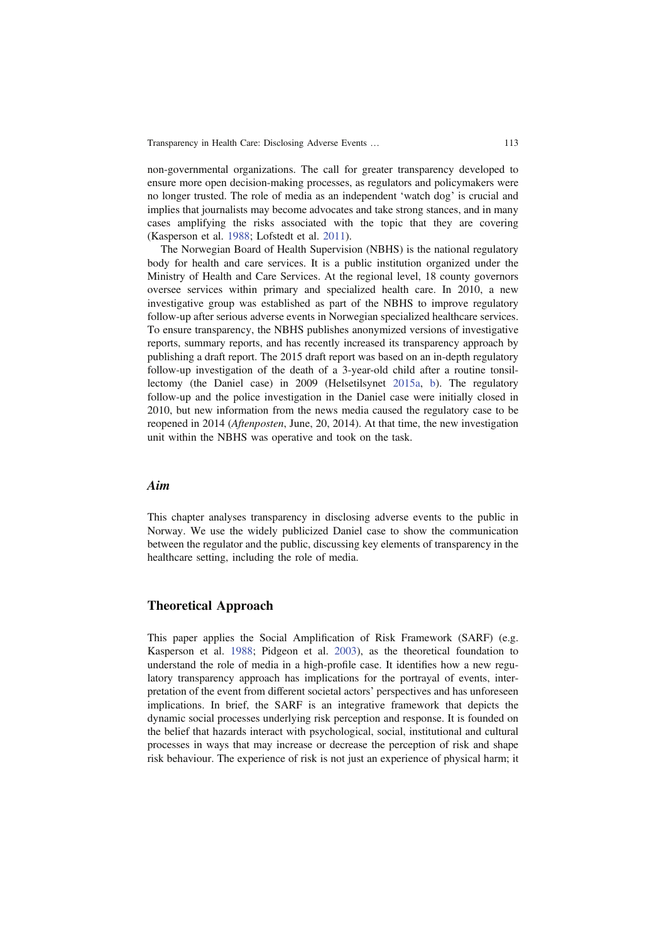non-governmental organizations. The call for greater transparency developed to ensure more open decision-making processes, as regulators and policymakers were no longer trusted. The role of media as an independent 'watch dog' is crucial and implies that journalists may become advocates and take strong stances, and in many cases amplifying the risks associated with the topic that they are covering (Kasperson et al. 1988; Lofstedt et al. 2011).

The Norwegian Board of Health Supervision (NBHS) is the national regulatory body for health and care services. It is a public institution organized under the Ministry of Health and Care Services. At the regional level, 18 county governors oversee services within primary and specialized health care. In 2010, a new investigative group was established as part of the NBHS to improve regulatory follow-up after serious adverse events in Norwegian specialized healthcare services. To ensure transparency, the NBHS publishes anonymized versions of investigative reports, summary reports, and has recently increased its transparency approach by publishing a draft report. The 2015 draft report was based on an in-depth regulatory follow-up investigation of the death of a 3-year-old child after a routine tonsillectomy (the Daniel case) in 2009 (Helsetilsynet 2015a, b). The regulatory follow-up and the police investigation in the Daniel case were initially closed in 2010, but new information from the news media caused the regulatory case to be reopened in 2014 (*Aftenposten*, June, 20, 2014). At that time, the new investigation unit within the NBHS was operative and took on the task.

## Aim

This chapter analyses transparency in disclosing adverse events to the public in Norway. We use the widely publicized Daniel case to show the communication between the regulator and the public, discussing key elements of transparency in the healthcare setting, including the role of media.

#### Theoretical Approach

This paper applies the Social Amplification of Risk Framework (SARF) (e.g. Kasperson et al. 1988; Pidgeon et al. 2003), as the theoretical foundation to understand the role of media in a high-profile case. It identifies how a new regulatory transparency approach has implications for the portrayal of events, interpretation of the event from different societal actors' perspectives and has unforeseen implications. In brief, the SARF is an integrative framework that depicts the dynamic social processes underlying risk perception and response. It is founded on the belief that hazards interact with psychological, social, institutional and cultural processes in ways that may increase or decrease the perception of risk and shape risk behaviour. The experience of risk is not just an experience of physical harm; it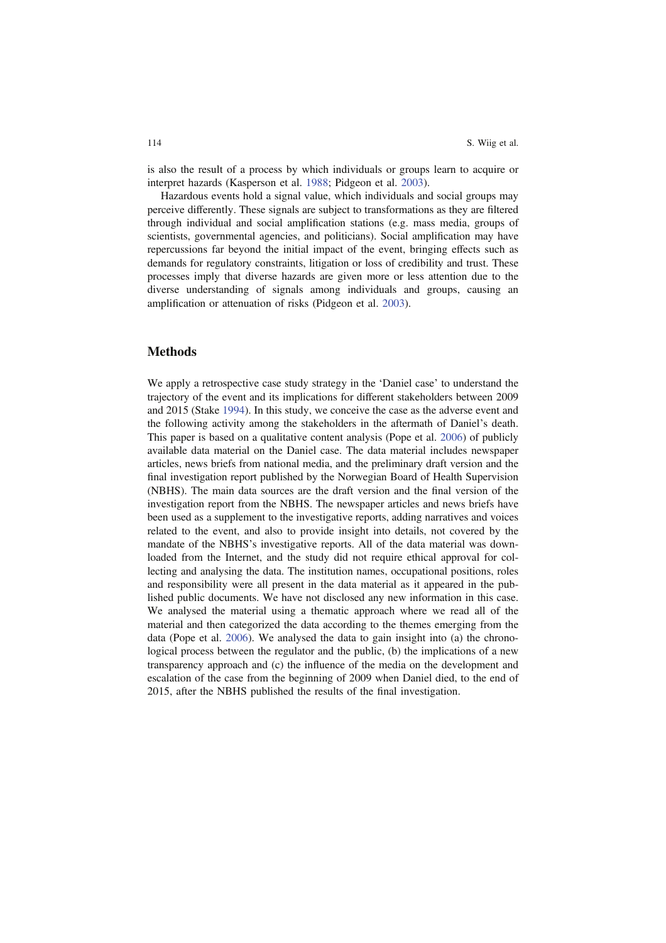is also the result of a process by which individuals or groups learn to acquire or interpret hazards (Kasperson et al. 1988; Pidgeon et al. 2003).

Hazardous events hold a signal value, which individuals and social groups may perceive differently. These signals are subject to transformations as they are filtered through individual and social amplification stations (e.g. mass media, groups of scientists, governmental agencies, and politicians). Social amplification may have repercussions far beyond the initial impact of the event, bringing effects such as demands for regulatory constraints, litigation or loss of credibility and trust. These processes imply that diverse hazards are given more or less attention due to the diverse understanding of signals among individuals and groups, causing an amplification or attenuation of risks (Pidgeon et al. 2003).

### Methods

We apply a retrospective case study strategy in the 'Daniel case' to understand the trajectory of the event and its implications for different stakeholders between 2009 and 2015 (Stake 1994). In this study, we conceive the case as the adverse event and the following activity among the stakeholders in the aftermath of Daniel's death. This paper is based on a qualitative content analysis (Pope et al. 2006) of publicly available data material on the Daniel case. The data material includes newspaper articles, news briefs from national media, and the preliminary draft version and the final investigation report published by the Norwegian Board of Health Supervision (NBHS). The main data sources are the draft version and the final version of the investigation report from the NBHS. The newspaper articles and news briefs have been used as a supplement to the investigative reports, adding narratives and voices related to the event, and also to provide insight into details, not covered by the mandate of the NBHS's investigative reports. All of the data material was downloaded from the Internet, and the study did not require ethical approval for collecting and analysing the data. The institution names, occupational positions, roles and responsibility were all present in the data material as it appeared in the published public documents. We have not disclosed any new information in this case. We analysed the material using a thematic approach where we read all of the material and then categorized the data according to the themes emerging from the data (Pope et al. 2006). We analysed the data to gain insight into (a) the chronological process between the regulator and the public, (b) the implications of a new transparency approach and (c) the influence of the media on the development and escalation of the case from the beginning of 2009 when Daniel died, to the end of 2015, after the NBHS published the results of the final investigation.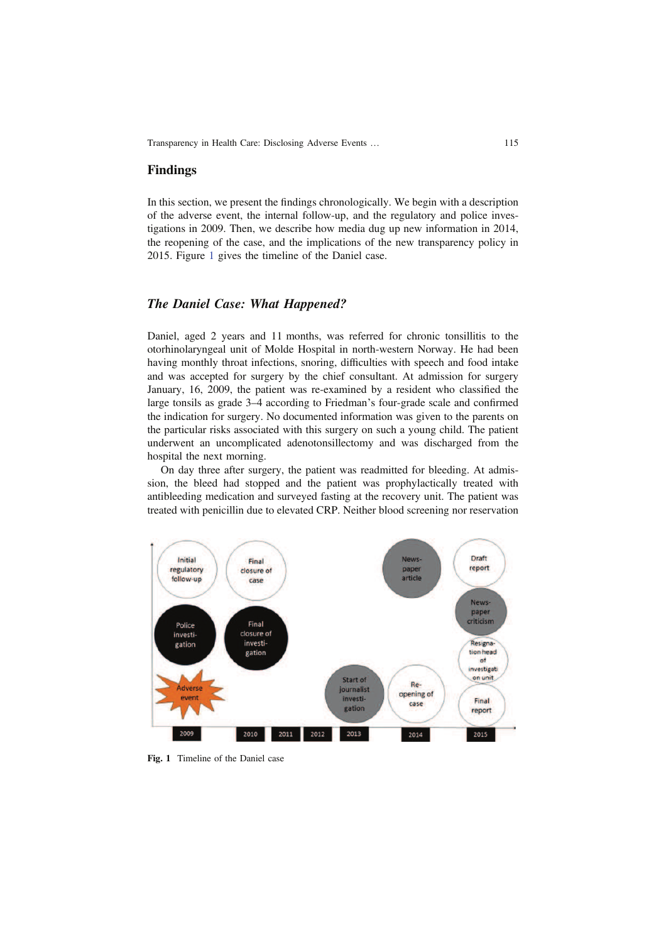### Findings

In this section, we present the findings chronologically. We begin with a description of the adverse event, the internal follow-up, and the regulatory and police investigations in 2009. Then, we describe how media dug up new information in 2014, the reopening of the case, and the implications of the new transparency policy in 2015. Figure 1 gives the timeline of the Daniel case.

### The Daniel Case: What Happened?

Daniel, aged 2 years and 11 months, was referred for chronic tonsillitis to the otorhinolaryngeal unit of Molde Hospital in north-western Norway. He had been having monthly throat infections, snoring, difficulties with speech and food intake and was accepted for surgery by the chief consultant. At admission for surgery January, 16, 2009, the patient was re-examined by a resident who classified the large tonsils as grade 3–4 according to Friedman's four-grade scale and confirmed the indication for surgery. No documented information was given to the parents on the particular risks associated with this surgery on such a young child. The patient underwent an uncomplicated adenotonsillectomy and was discharged from the hospital the next morning.

On day three after surgery, the patient was readmitted for bleeding. At admission, the bleed had stopped and the patient was prophylactically treated with antibleeding medication and surveyed fasting at the recovery unit. The patient was treated with penicillin due to elevated CRP. Neither blood screening nor reservation



Fig. 1 Timeline of the Daniel case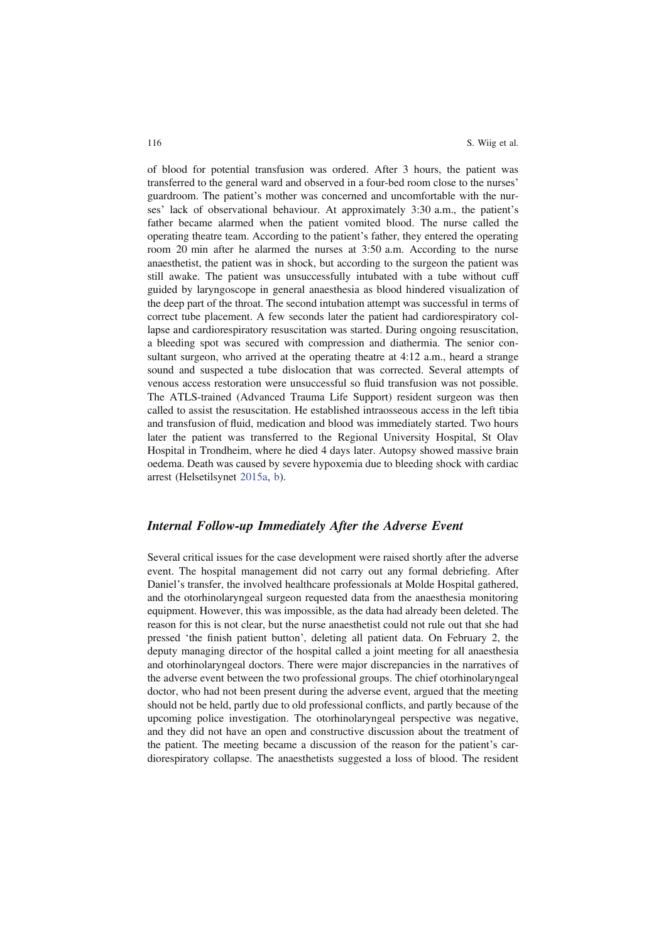of blood for potential transfusion was ordered. After 3 hours, the patient was transferred to the general ward and observed in a four-bed room close to the nurses' guardroom. The patient's mother was concerned and uncomfortable with the nurses' lack of observational behaviour. At approximately 3:30 a.m., the patient's father became alarmed when the patient vomited blood. The nurse called the operating theatre team. According to the patient's father, they entered the operating room 20 min after he alarmed the nurses at 3:50 a.m. According to the nurse anaesthetist, the patient was in shock, but according to the surgeon the patient was still awake. The patient was unsuccessfully intubated with a tube without cuff guided by laryngoscope in general anaesthesia as blood hindered visualization of the deep part of the throat. The second intubation attempt was successful in terms of correct tube placement. A few seconds later the patient had cardiorespiratory collapse and cardiorespiratory resuscitation was started. During ongoing resuscitation, a bleeding spot was secured with compression and diathermia. The senior consultant surgeon, who arrived at the operating theatre at 4:12 a.m., heard a strange sound and suspected a tube dislocation that was corrected. Several attempts of venous access restoration were unsuccessful so fluid transfusion was not possible. The ATLS-trained (Advanced Trauma Life Support) resident surgeon was then called to assist the resuscitation. He established intraosseous access in the left tibia and transfusion of fluid, medication and blood was immediately started. Two hours later the patient was transferred to the Regional University Hospital, St Olav Hospital in Trondheim, where he died 4 days later. Autopsy showed massive brain oedema. Death was caused by severe hypoxemia due to bleeding shock with cardiac arrest (Helsetilsynet 2015a, b).

### Internal Follow-up Immediately After the Adverse Event

Several critical issues for the case development were raised shortly after the adverse event. The hospital management did not carry out any formal debriefing. After Daniel's transfer, the involved healthcare professionals at Molde Hospital gathered, and the otorhinolaryngeal surgeon requested data from the anaesthesia monitoring equipment. However, this was impossible, as the data had already been deleted. The reason for this is not clear, but the nurse anaesthetist could not rule out that she had pressed 'the finish patient button', deleting all patient data. On February 2, the deputy managing director of the hospital called a joint meeting for all anaesthesia and otorhinolaryngeal doctors. There were major discrepancies in the narratives of the adverse event between the two professional groups. The chief otorhinolaryngeal doctor, who had not been present during the adverse event, argued that the meeting should not be held, partly due to old professional conflicts, and partly because of the upcoming police investigation. The otorhinolaryngeal perspective was negative, and they did not have an open and constructive discussion about the treatment of the patient. The meeting became a discussion of the reason for the patient's cardiorespiratory collapse. The anaesthetists suggested a loss of blood. The resident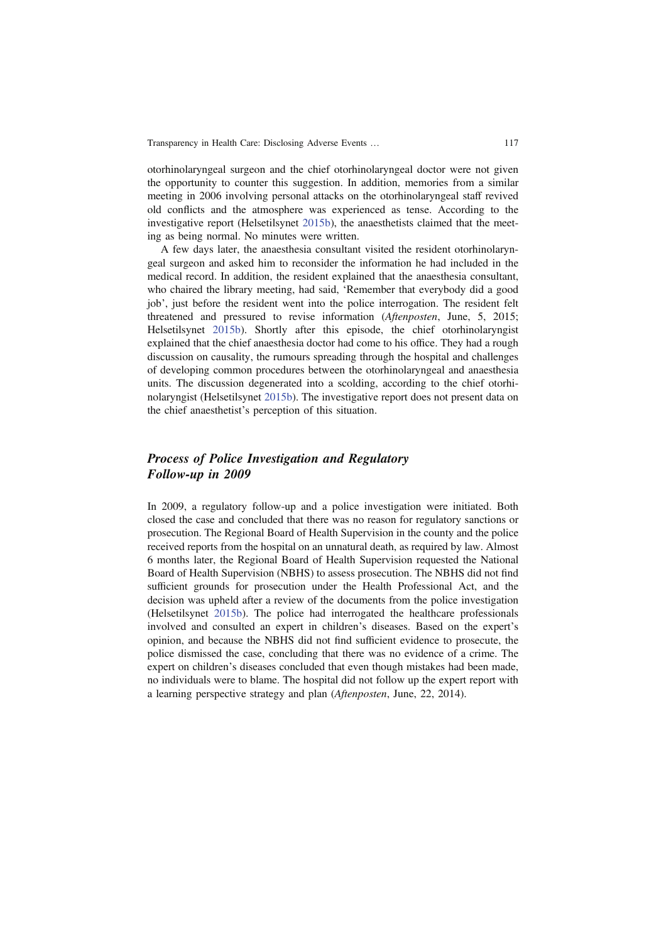otorhinolaryngeal surgeon and the chief otorhinolaryngeal doctor were not given the opportunity to counter this suggestion. In addition, memories from a similar meeting in 2006 involving personal attacks on the otorhinolaryngeal staff revived old conflicts and the atmosphere was experienced as tense. According to the investigative report (Helsetilsynet 2015b), the anaesthetists claimed that the meeting as being normal. No minutes were written.

A few days later, the anaesthesia consultant visited the resident otorhinolaryngeal surgeon and asked him to reconsider the information he had included in the medical record. In addition, the resident explained that the anaesthesia consultant, who chaired the library meeting, had said, 'Remember that everybody did a good job', just before the resident went into the police interrogation. The resident felt threatened and pressured to revise information (*Aftenposten*, June, 5, 2015; Helsetilsynet 2015b). Shortly after this episode, the chief otorhinolaryngist explained that the chief anaesthesia doctor had come to his office. They had a rough discussion on causality, the rumours spreading through the hospital and challenges of developing common procedures between the otorhinolaryngeal and anaesthesia units. The discussion degenerated into a scolding, according to the chief otorhinolaryngist (Helsetilsynet 2015b). The investigative report does not present data on the chief anaesthetist's perception of this situation.

# Process of Police Investigation and Regulatory Follow-up in 2009

In 2009, a regulatory follow-up and a police investigation were initiated. Both closed the case and concluded that there was no reason for regulatory sanctions or prosecution. The Regional Board of Health Supervision in the county and the police received reports from the hospital on an unnatural death, as required by law. Almost 6 months later, the Regional Board of Health Supervision requested the National Board of Health Supervision (NBHS) to assess prosecution. The NBHS did not find sufficient grounds for prosecution under the Health Professional Act, and the decision was upheld after a review of the documents from the police investigation (Helsetilsynet 2015b). The police had interrogated the healthcare professionals involved and consulted an expert in children's diseases. Based on the expert's opinion, and because the NBHS did not find sufficient evidence to prosecute, the police dismissed the case, concluding that there was no evidence of a crime. The expert on children's diseases concluded that even though mistakes had been made, no individuals were to blame. The hospital did not follow up the expert report with a learning perspective strategy and plan (*Aftenposten*, June, 22, 2014).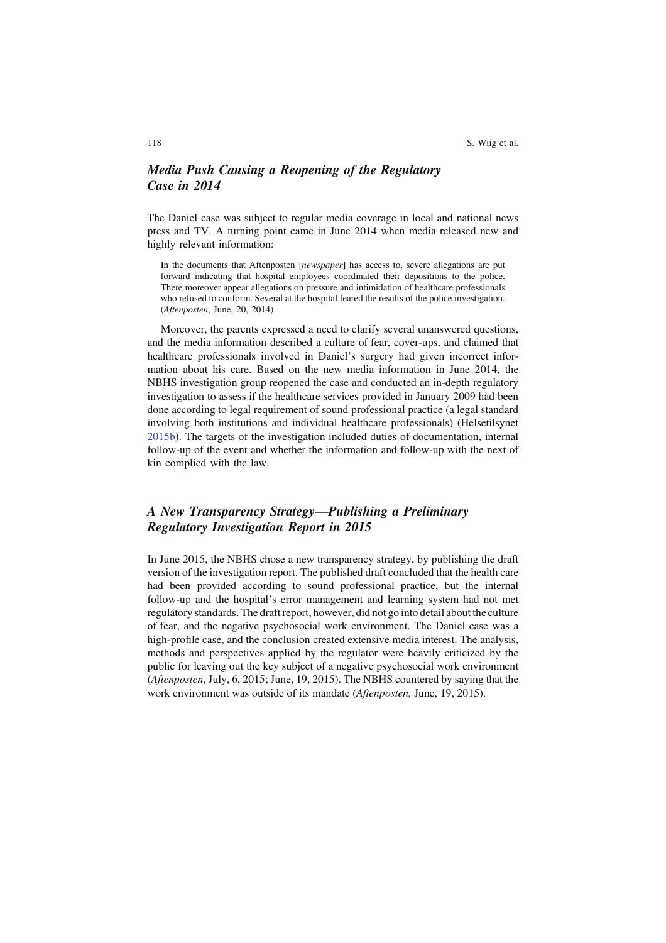118 S. Wiig et al.

# Media Push Causing a Reopening of the Regulatory Case in 2014

The Daniel case was subject to regular media coverage in local and national news press and TV. A turning point came in June 2014 when media released new and highly relevant information:

In the documents that Aftenposten [*newspaper*] has access to, severe allegations are put forward indicating that hospital employees coordinated their depositions to the police. There moreover appear allegations on pressure and intimidation of healthcare professionals who refused to conform. Several at the hospital feared the results of the police investigation. (*Aftenposten*, June, 20, 2014)

Moreover, the parents expressed a need to clarify several unanswered questions, and the media information described a culture of fear, cover-ups, and claimed that healthcare professionals involved in Daniel's surgery had given incorrect information about his care. Based on the new media information in June 2014, the NBHS investigation group reopened the case and conducted an in-depth regulatory investigation to assess if the healthcare services provided in January 2009 had been done according to legal requirement of sound professional practice (a legal standard involving both institutions and individual healthcare professionals) (Helsetilsynet 2015b). The targets of the investigation included duties of documentation, internal follow-up of the event and whether the information and follow-up with the next of kin complied with the law.

# A New Transparency Strategy—Publishing a Preliminary Regulatory Investigation Report in 2015

In June 2015, the NBHS chose a new transparency strategy, by publishing the draft version of the investigation report. The published draft concluded that the health care had been provided according to sound professional practice, but the internal follow-up and the hospital's error management and learning system had not met regulatory standards. The draft report, however, did not go into detail about the culture of fear, and the negative psychosocial work environment. The Daniel case was a high-profile case, and the conclusion created extensive media interest. The analysis, methods and perspectives applied by the regulator were heavily criticized by the public for leaving out the key subject of a negative psychosocial work environment (*Aftenposten*, July, 6, 2015; June, 19, 2015). The NBHS countered by saying that the work environment was outside of its mandate (*Aftenposten,* June, 19, 2015).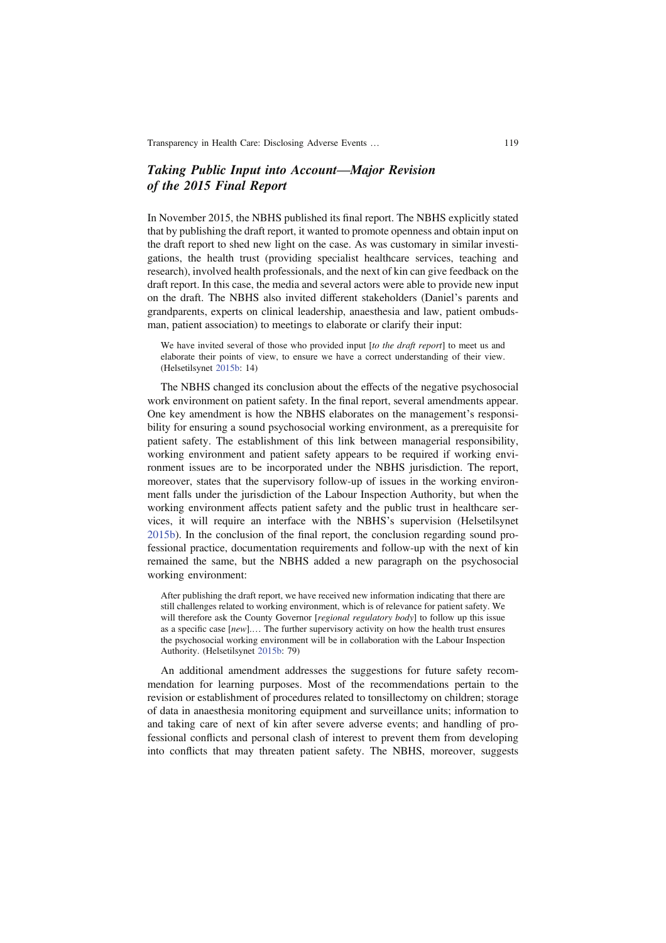# Taking Public Input into Account—Major Revision of the 2015 Final Report

In November 2015, the NBHS published its final report. The NBHS explicitly stated that by publishing the draft report, it wanted to promote openness and obtain input on the draft report to shed new light on the case. As was customary in similar investigations, the health trust (providing specialist healthcare services, teaching and research), involved health professionals, and the next of kin can give feedback on the draft report. In this case, the media and several actors were able to provide new input on the draft. The NBHS also invited different stakeholders (Daniel's parents and grandparents, experts on clinical leadership, anaesthesia and law, patient ombudsman, patient association) to meetings to elaborate or clarify their input:

We have invited several of those who provided input [*to the draft report*] to meet us and elaborate their points of view, to ensure we have a correct understanding of their view. (Helsetilsynet 2015b: 14)

The NBHS changed its conclusion about the effects of the negative psychosocial work environment on patient safety. In the final report, several amendments appear. One key amendment is how the NBHS elaborates on the management's responsibility for ensuring a sound psychosocial working environment, as a prerequisite for patient safety. The establishment of this link between managerial responsibility, working environment and patient safety appears to be required if working environment issues are to be incorporated under the NBHS jurisdiction. The report, moreover, states that the supervisory follow-up of issues in the working environment falls under the jurisdiction of the Labour Inspection Authority, but when the working environment affects patient safety and the public trust in healthcare services, it will require an interface with the NBHS's supervision (Helsetilsynet 2015b). In the conclusion of the final report, the conclusion regarding sound professional practice, documentation requirements and follow-up with the next of kin remained the same, but the NBHS added a new paragraph on the psychosocial working environment:

After publishing the draft report, we have received new information indicating that there are still challenges related to working environment, which is of relevance for patient safety. We will therefore ask the County Governor [*regional regulatory body*] to follow up this issue as a specific case [*new*].… The further supervisory activity on how the health trust ensures the psychosocial working environment will be in collaboration with the Labour Inspection Authority. (Helsetilsynet 2015b: 79)

An additional amendment addresses the suggestions for future safety recommendation for learning purposes. Most of the recommendations pertain to the revision or establishment of procedures related to tonsillectomy on children; storage of data in anaesthesia monitoring equipment and surveillance units; information to and taking care of next of kin after severe adverse events; and handling of professional conflicts and personal clash of interest to prevent them from developing into conflicts that may threaten patient safety. The NBHS, moreover, suggests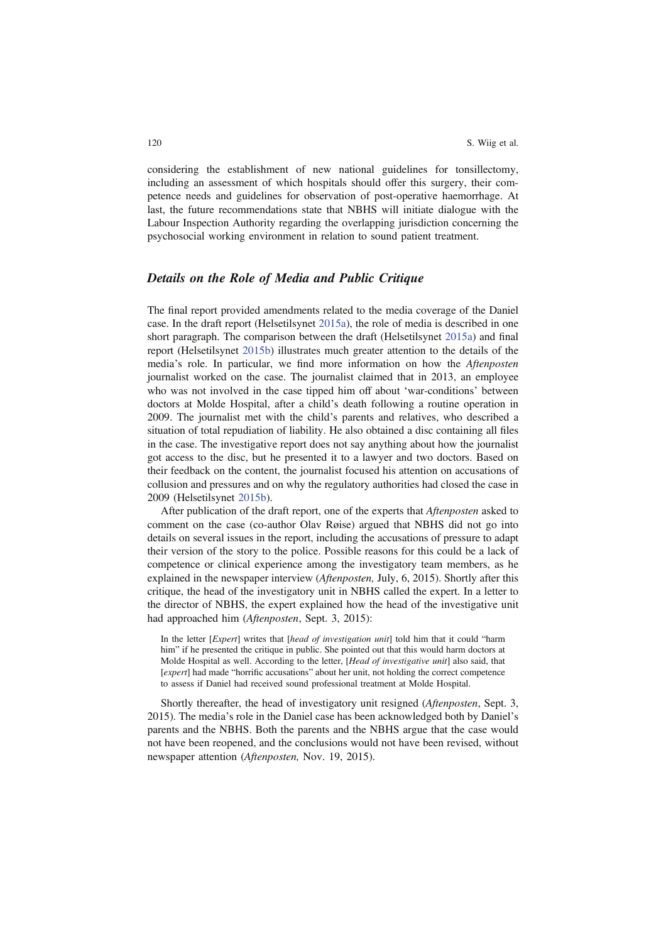considering the establishment of new national guidelines for tonsillectomy, including an assessment of which hospitals should offer this surgery, their competence needs and guidelines for observation of post-operative haemorrhage. At last, the future recommendations state that NBHS will initiate dialogue with the Labour Inspection Authority regarding the overlapping jurisdiction concerning the psychosocial working environment in relation to sound patient treatment.

### Details on the Role of Media and Public Critique

The final report provided amendments related to the media coverage of the Daniel case. In the draft report (Helsetilsynet 2015a), the role of media is described in one short paragraph. The comparison between the draft (Helsetilsynet 2015a) and final report (Helsetilsynet 2015b) illustrates much greater attention to the details of the media's role. In particular, we find more information on how the *Aftenposten* journalist worked on the case. The journalist claimed that in 2013, an employee who was not involved in the case tipped him off about 'war-conditions' between doctors at Molde Hospital, after a child's death following a routine operation in 2009. The journalist met with the child's parents and relatives, who described a situation of total repudiation of liability. He also obtained a disc containing all files in the case. The investigative report does not say anything about how the journalist got access to the disc, but he presented it to a lawyer and two doctors. Based on their feedback on the content, the journalist focused his attention on accusations of collusion and pressures and on why the regulatory authorities had closed the case in 2009 (Helsetilsynet 2015b).

After publication of the draft report, one of the experts that *Aftenposten* asked to comment on the case (co-author Olav Røise) argued that NBHS did not go into details on several issues in the report, including the accusations of pressure to adapt their version of the story to the police. Possible reasons for this could be a lack of competence or clinical experience among the investigatory team members, as he explained in the newspaper interview (*Aftenposten,* July, 6, 2015). Shortly after this critique, the head of the investigatory unit in NBHS called the expert. In a letter to the director of NBHS, the expert explained how the head of the investigative unit had approached him (*Aftenposten*, Sept. 3, 2015):

In the letter [*Expert*] writes that [*head of investigation unit*] told him that it could "harm him" if he presented the critique in public. She pointed out that this would harm doctors at Molde Hospital as well. According to the letter, [*Head of investigative unit*] also said, that [*expert*] had made "horrific accusations" about her unit, not holding the correct competence to assess if Daniel had received sound professional treatment at Molde Hospital.

Shortly thereafter, the head of investigatory unit resigned (*Aftenposten*, Sept. 3, 2015). The media's role in the Daniel case has been acknowledged both by Daniel's parents and the NBHS. Both the parents and the NBHS argue that the case would not have been reopened, and the conclusions would not have been revised, without newspaper attention (*Aftenposten,* Nov. 19, 2015).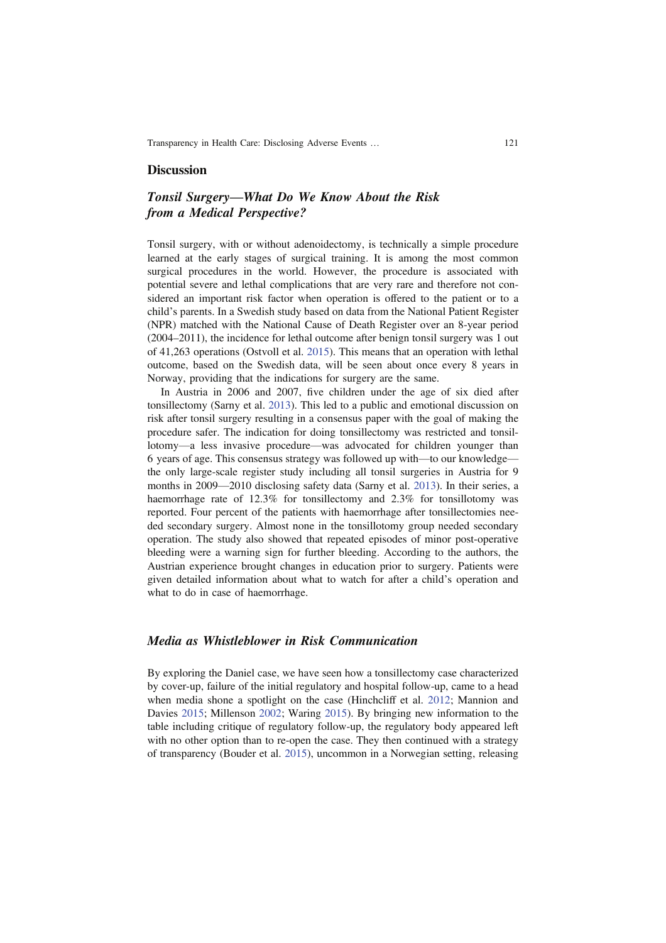### **Discussion**

# Tonsil Surgery—What Do We Know About the Risk from a Medical Perspective?

Tonsil surgery, with or without adenoidectomy, is technically a simple procedure learned at the early stages of surgical training. It is among the most common surgical procedures in the world. However, the procedure is associated with potential severe and lethal complications that are very rare and therefore not considered an important risk factor when operation is offered to the patient or to a child's parents. In a Swedish study based on data from the National Patient Register (NPR) matched with the National Cause of Death Register over an 8-year period (2004–2011), the incidence for lethal outcome after benign tonsil surgery was 1 out of 41,263 operations (Ostvoll et al. 2015). This means that an operation with lethal outcome, based on the Swedish data, will be seen about once every 8 years in Norway, providing that the indications for surgery are the same.

In Austria in 2006 and 2007, five children under the age of six died after tonsillectomy (Sarny et al. 2013). This led to a public and emotional discussion on risk after tonsil surgery resulting in a consensus paper with the goal of making the procedure safer. The indication for doing tonsillectomy was restricted and tonsillotomy—a less invasive procedure—was advocated for children younger than 6 years of age. This consensus strategy was followed up with—to our knowledge the only large-scale register study including all tonsil surgeries in Austria for 9 months in 2009—2010 disclosing safety data (Sarny et al. 2013). In their series, a haemorrhage rate of 12.3% for tonsillectomy and 2.3% for tonsillotomy was reported. Four percent of the patients with haemorrhage after tonsillectomies needed secondary surgery. Almost none in the tonsillotomy group needed secondary operation. The study also showed that repeated episodes of minor post-operative bleeding were a warning sign for further bleeding. According to the authors, the Austrian experience brought changes in education prior to surgery. Patients were given detailed information about what to watch for after a child's operation and what to do in case of haemorrhage.

#### Media as Whistleblower in Risk Communication

By exploring the Daniel case, we have seen how a tonsillectomy case characterized by cover-up, failure of the initial regulatory and hospital follow-up, came to a head when media shone a spotlight on the case (Hinchcliff et al. 2012; Mannion and Davies 2015; Millenson 2002; Waring 2015). By bringing new information to the table including critique of regulatory follow-up, the regulatory body appeared left with no other option than to re-open the case. They then continued with a strategy of transparency (Bouder et al. 2015), uncommon in a Norwegian setting, releasing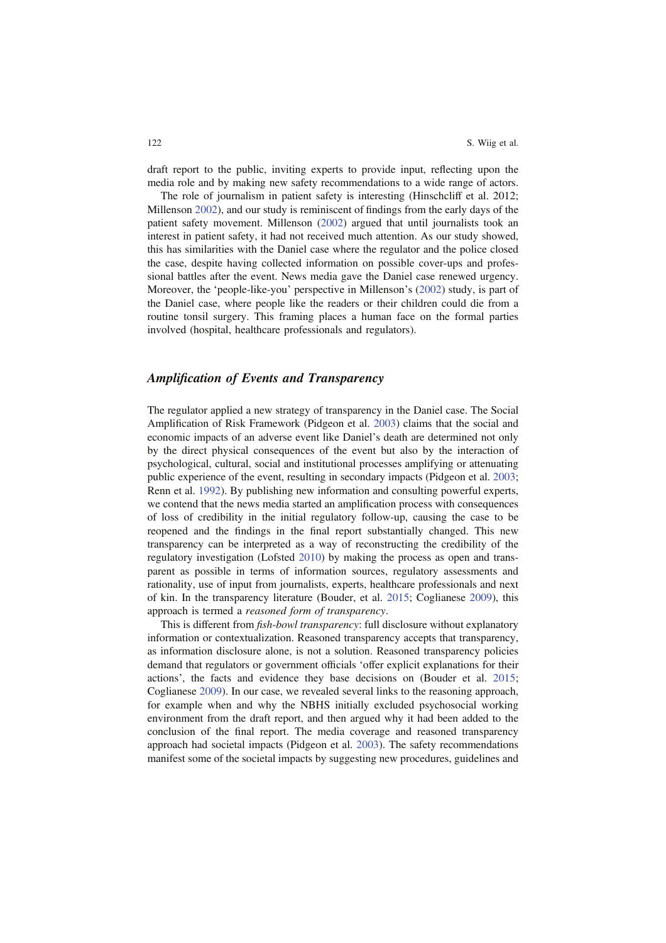draft report to the public, inviting experts to provide input, reflecting upon the media role and by making new safety recommendations to a wide range of actors.

The role of journalism in patient safety is interesting (Hinschcliff et al. 2012; Millenson 2002), and our study is reminiscent of findings from the early days of the patient safety movement. Millenson (2002) argued that until journalists took an interest in patient safety, it had not received much attention. As our study showed, this has similarities with the Daniel case where the regulator and the police closed the case, despite having collected information on possible cover-ups and professional battles after the event. News media gave the Daniel case renewed urgency. Moreover, the 'people-like-you' perspective in Millenson's (2002) study, is part of the Daniel case, where people like the readers or their children could die from a routine tonsil surgery. This framing places a human face on the formal parties involved (hospital, healthcare professionals and regulators).

# Amplification of Events and Transparency

The regulator applied a new strategy of transparency in the Daniel case. The Social Amplification of Risk Framework (Pidgeon et al. 2003) claims that the social and economic impacts of an adverse event like Daniel's death are determined not only by the direct physical consequences of the event but also by the interaction of psychological, cultural, social and institutional processes amplifying or attenuating public experience of the event, resulting in secondary impacts (Pidgeon et al. 2003; Renn et al. 1992). By publishing new information and consulting powerful experts, we contend that the news media started an amplification process with consequences of loss of credibility in the initial regulatory follow-up, causing the case to be reopened and the findings in the final report substantially changed. This new transparency can be interpreted as a way of reconstructing the credibility of the regulatory investigation (Lofsted 2010) by making the process as open and transparent as possible in terms of information sources, regulatory assessments and rationality, use of input from journalists, experts, healthcare professionals and next of kin. In the transparency literature (Bouder, et al. 2015; Coglianese 2009), this approach is termed a *reasoned form of transparency*.

This is different from fi*sh*-*bowl transparency*: full disclosure without explanatory information or contextualization. Reasoned transparency accepts that transparency, as information disclosure alone, is not a solution. Reasoned transparency policies demand that regulators or government officials 'offer explicit explanations for their actions', the facts and evidence they base decisions on (Bouder et al. 2015; Coglianese 2009). In our case, we revealed several links to the reasoning approach, for example when and why the NBHS initially excluded psychosocial working environment from the draft report, and then argued why it had been added to the conclusion of the final report. The media coverage and reasoned transparency approach had societal impacts (Pidgeon et al. 2003). The safety recommendations manifest some of the societal impacts by suggesting new procedures, guidelines and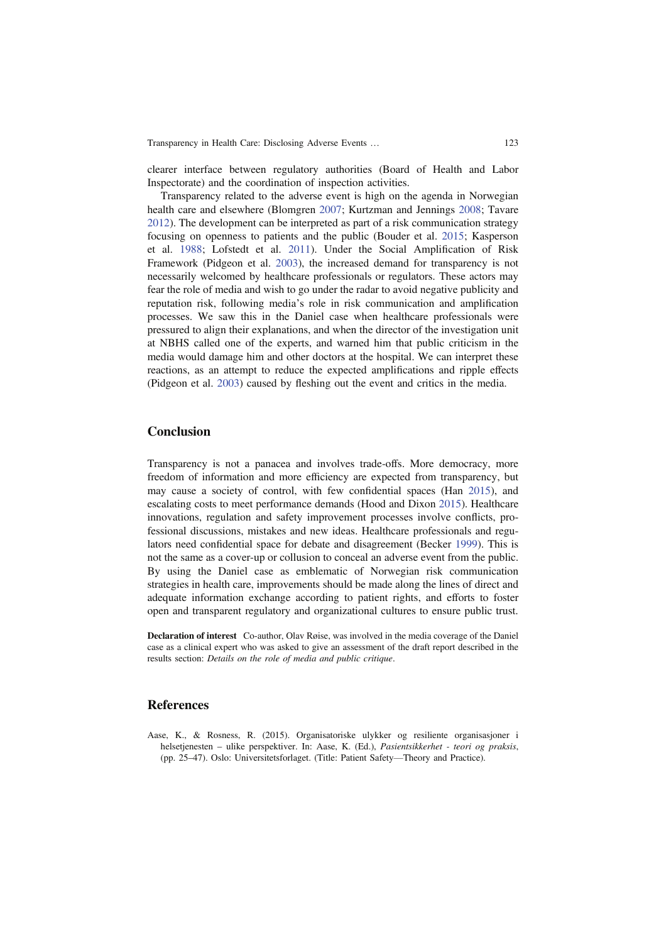clearer interface between regulatory authorities (Board of Health and Labor Inspectorate) and the coordination of inspection activities.

Transparency related to the adverse event is high on the agenda in Norwegian health care and elsewhere (Blomgren 2007; Kurtzman and Jennings 2008; Tavare 2012). The development can be interpreted as part of a risk communication strategy focusing on openness to patients and the public (Bouder et al. 2015; Kasperson et al. 1988; Lofstedt et al. 2011). Under the Social Amplification of Risk Framework (Pidgeon et al. 2003), the increased demand for transparency is not necessarily welcomed by healthcare professionals or regulators. These actors may fear the role of media and wish to go under the radar to avoid negative publicity and reputation risk, following media's role in risk communication and amplification processes. We saw this in the Daniel case when healthcare professionals were pressured to align their explanations, and when the director of the investigation unit at NBHS called one of the experts, and warned him that public criticism in the media would damage him and other doctors at the hospital. We can interpret these reactions, as an attempt to reduce the expected amplifications and ripple effects (Pidgeon et al. 2003) caused by fleshing out the event and critics in the media.

### **Conclusion**

Transparency is not a panacea and involves trade-offs. More democracy, more freedom of information and more efficiency are expected from transparency, but may cause a society of control, with few confidential spaces (Han 2015), and escalating costs to meet performance demands (Hood and Dixon 2015). Healthcare innovations, regulation and safety improvement processes involve conflicts, professional discussions, mistakes and new ideas. Healthcare professionals and regulators need confidential space for debate and disagreement (Becker 1999). This is not the same as a cover-up or collusion to conceal an adverse event from the public. By using the Daniel case as emblematic of Norwegian risk communication strategies in health care, improvements should be made along the lines of direct and adequate information exchange according to patient rights, and efforts to foster open and transparent regulatory and organizational cultures to ensure public trust.

Declaration of interest Co-author, Olav Røise, was involved in the media coverage of the Daniel case as a clinical expert who was asked to give an assessment of the draft report described in the results section: *Details on the role of media and public critique*.

## References

Aase, K., & Rosness, R. (2015). Organisatoriske ulykker og resiliente organisasjoner i helsetjenesten – ulike perspektiver. In: Aase, K. (Ed.), *Pasientsikkerhet - teori og praksis*, (pp. 25–47). Oslo: Universitetsforlaget. (Title: Patient Safety—Theory and Practice).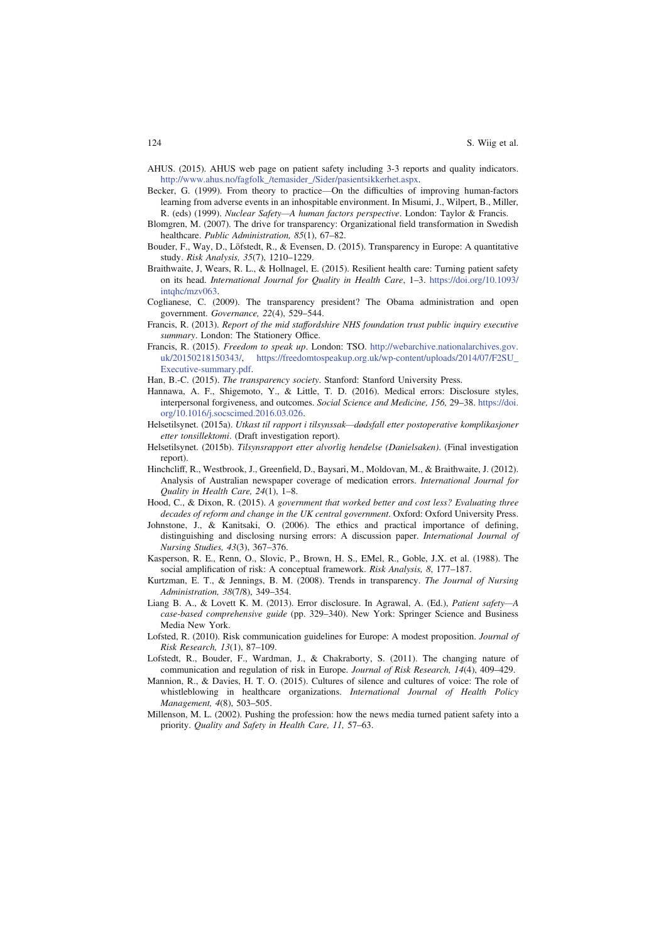- AHUS. (2015). AHUS web page on patient safety including 3-3 reports and quality indicators. http://www.ahus.no/fagfolk\_/temasider\_/Sider/pasientsikkerhet.aspx.
- Becker, G. (1999). From theory to practice—On the difficulties of improving human-factors learning from adverse events in an inhospitable environment. In Misumi, J., Wilpert, B., Miller, R. (eds) (1999). *Nuclear Safety*—*A human factors perspective*. London: Taylor & Francis.
- Blomgren, M. (2007). The drive for transparency: Organizational field transformation in Swedish healthcare. *Public Administration, 85*(1), 67–82.
- Bouder, F., Way, D., Löfstedt, R., & Evensen, D. (2015). Transparency in Europe: A quantitative study. *Risk Analysis, 35*(7), 1210–1229.
- Braithwaite, J, Wears, R. L., & Hollnagel, E. (2015). Resilient health care: Turning patient safety on its head. *International Journal for Quality in Health Care*, 1–3. https://doi.org/10.1093/ intohc/mzv063.
- Coglianese, C. (2009). The transparency president? The Obama administration and open government. *Governance, 22*(4), 529–544.
- Francis, R. (2013). *Report of the mid staffordshire NHS foundation trust public inquiry executive summary*. London: The Stationery Office.
- Francis, R. (2015). *Freedom to speak up*. London: TSO. http://webarchive.nationalarchives.gov. uk/20150218150343/, https://freedomtospeakup.org.uk/wp-content/uploads/2014/07/F2SU\_ Executive-summary.pdf.
- Han, B.-C. (2015). *The transparency society*. Stanford: Stanford University Press.
- Hannawa, A. F., Shigemoto, Y., & Little, T. D. (2016). Medical errors: Disclosure styles, interpersonal forgiveness, and outcomes. *Social Science and Medicine, 156,* 29–38. https://doi. org/10.1016/j.socscimed.2016.03.026.
- Helsetilsynet. (2015a). *Utkast til rapport i tilsynssak*—*d*ø*dsfall etter postoperative komplikasjoner etter tonsillektomi*. (Draft investigation report).
- Helsetilsynet. (2015b). *Tilsynsrapport etter alvorlig hendelse (Danielsaken)*. (Final investigation report).
- Hinchcliff, R., Westbrook, J., Greenfield, D., Baysari, M., Moldovan, M., & Braithwaite, J. (2012). Analysis of Australian newspaper coverage of medication errors. *International Journal for Quality in Health Care, 24*(1), 1–8.
- Hood, C., & Dixon, R. (2015). *A government that worked better and cost less? Evaluating three decades of reform and change in the UK central government*. Oxford: Oxford University Press.
- Johnstone, J., & Kanitsaki, O. (2006). The ethics and practical importance of defining, distinguishing and disclosing nursing errors: A discussion paper. *International Journal of Nursing Studies, 43*(3), 367–376.
- Kasperson, R. E., Renn, O., Slovic, P., Brown, H. S., EMel, R., Goble, J.X. et al. (1988). The social amplification of risk: A conceptual framework. *Risk Analysis, 8*, 177–187.
- Kurtzman, E. T., & Jennings, B. M. (2008). Trends in transparency. *The Journal of Nursing Administration, 38*(7/8), 349–354.
- Liang B. A., & Lovett K. M. (2013). Error disclosure. In Agrawal, A. (Ed.), *Patient safety*—*A case-based comprehensive guide* (pp. 329–340). New York: Springer Science and Business Media New York.
- Lofsted, R. (2010). Risk communication guidelines for Europe: A modest proposition. *Journal of Risk Research, 13*(1), 87–109.
- Lofstedt, R., Bouder, F., Wardman, J., & Chakraborty, S. (2011). The changing nature of communication and regulation of risk in Europe. *Journal of Risk Research, 14*(4), 409–429.
- Mannion, R., & Davies, H. T. O. (2015). Cultures of silence and cultures of voice: The role of whistleblowing in healthcare organizations. *International Journal of Health Policy Management, 4*(8), 503–505.
- Millenson, M. L. (2002). Pushing the profession: how the news media turned patient safety into a priority. *Quality and Safety in Health Care, 11,* 57–63.